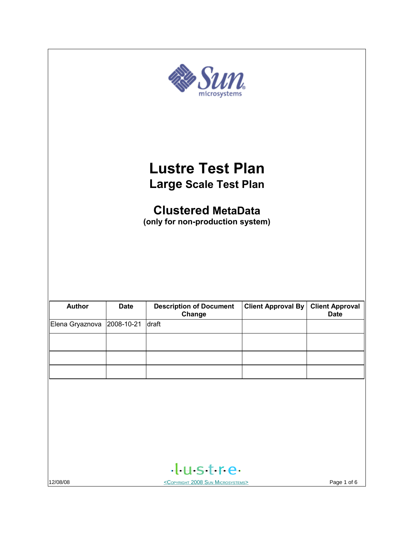| $S$ <i>im</i><br>microsystems                                                                                            |             |                                |                           |                        |
|--------------------------------------------------------------------------------------------------------------------------|-------------|--------------------------------|---------------------------|------------------------|
| <b>Lustre Test Plan</b><br><b>Large Scale Test Plan</b><br><b>Clustered MetaData</b><br>(only for non-production system) |             |                                |                           |                        |
| <b>Author</b>                                                                                                            | <b>Date</b> | <b>Description of Document</b> | <b>Client Approval By</b> | <b>Client Approval</b> |
| Elena Gryaznova                                                                                                          | 2008-10-21  | Change<br>draft                |                           | <b>Date</b>            |
|                                                                                                                          |             |                                |                           |                        |
|                                                                                                                          |             |                                |                           |                        |
|                                                                                                                          |             |                                |                           |                        |
|                                                                                                                          |             | tustre.                        |                           |                        |
| 12/08/08<br><copyright 2008="" microsystems="" sun=""></copyright>                                                       |             |                                |                           | Page 1 of 6            |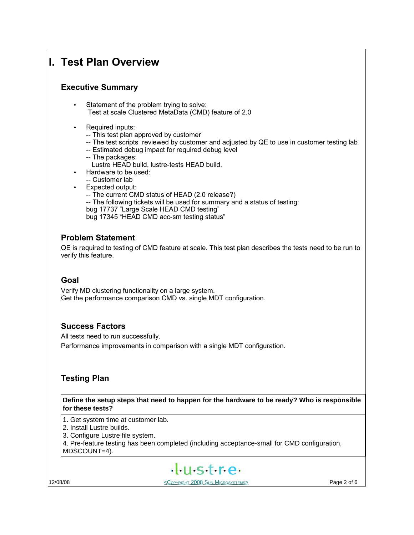## **I. Test Plan Overview**

## **Executive Summary**

- Statement of the problem trying to solve: Test at scale Clustered MetaData (CMD) feature of 2.0
- Required inputs:
	- -- This test plan approved by customer
	- -- The test scripts reviewed by customer and adjusted by QE to use in customer testing lab
	- -- Estimated debug impact for required debug level
	- -- The packages:
		- Lustre HEAD build, lustre-tests HEAD build.
- Hardware to be used:
- -- Customer lab
- Expected output:
	- -- The current CMD status of HEAD (2.0 release?) -- The following tickets will be used for summary and a status of testing:
	- bug 17737 "Large Scale HEAD CMD testing"

bug 17345 "HEAD CMD acc-sm testing status"

## **Problem Statement**

QE is required to testing of CMD feature at scale. This test plan describes the tests need to be run to verify this feature.

## **Goal**

Verify MD clustering functionality on a large system. Get the performance comparison CMD vs. single MDT configuration.

## **Success Factors**

All tests need to run successfully. Performance improvements in comparison with a single MDT configuration.

## **Testing Plan**

**Define the setup steps that need to happen for the hardware to be ready? Who is responsible for these tests?**

- 1. Get system time at customer lab.
- 2. Install Lustre builds.
- 3. Configure Lustre file system.
- 4. Pre-feature testing has been completed (including acceptance-small for CMD configuration,

MDSCOUNT=4).

# $+$ ustre

12/08/08 **Page 2 of 6 COPYRIGHT 2008 SUN MICROSYSTEMS**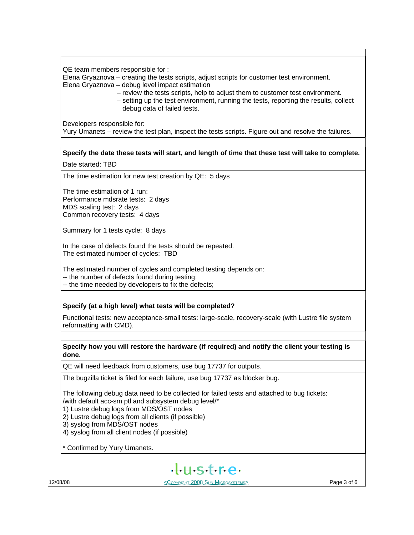QE team members responsible for :

Elena Gryaznova – creating the tests scripts, adjust scripts for customer test environment. Elena Gryaznova – debug level impact estimation

– review the tests scripts, help to adjust them to customer test environment.

 – setting up the test environment, running the tests, reporting the results, collect debug data of failed tests.

Developers responsible for:

Yury Umanets – review the test plan, inspect the tests scripts. Figure out and resolve the failures.

#### **Specify the date these tests will start, and length of time that these test will take to complete.**

Date started: TBD

The time estimation for new test creation by QE: 5 days

The time estimation of 1 run: Performance mdsrate tests: 2 days MDS scaling test: 2 days Common recovery tests: 4 days

Summary for 1 tests cycle: 8 days

In the case of defects found the tests should be repeated. The estimated number of cycles: TBD

The estimated number of cycles and completed testing depends on:

-- the number of defects found during testing;

-- the time needed by developers to fix the defects;

#### **Specify (at a high level) what tests will be completed?**

Functional tests: new acceptance-small tests: large-scale, recovery-scale (with Lustre file system reformatting with CMD).

#### **Specify how you will restore the hardware (if required) and notify the client your testing is done.**

QE will need feedback from customers, use bug 17737 for outputs.

The bugzilla ticket is filed for each failure, use bug 17737 as blocker bug.

The following debug data need to be collected for failed tests and attached to bug tickets: /with default acc-sm ptl and subsystem debug level/\*

1) Lustre debug logs from MDS/OST nodes

2) Lustre debug logs from all clients (if possible)

3) syslog from MDS/OST nodes

4) syslog from all client nodes (if possible)

\* Confirmed by Yury Umanets.



12/08/08 <COPYRIGHT 2008 SUN MICROSYSTEMS> Page 3 of 6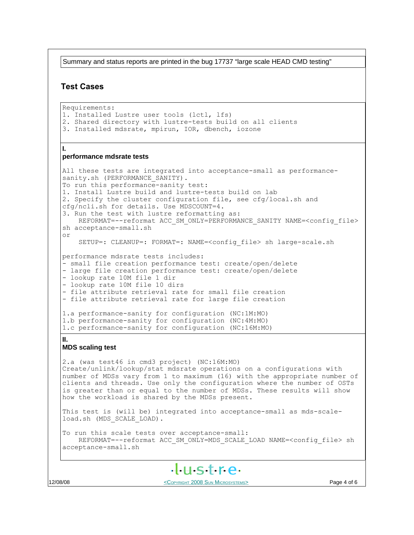Summary and status reports are printed in the bug 17737 "large scale HEAD CMD testing"

#### **Test Cases**

Requirements: 1. Installed Lustre user tools (lctl, lfs) 2. Shared directory with lustre-tests build on all clients 3. Installed mdsrate, mpirun, IOR, dbench, iozone **I. performance mdsrate tests** All these tests are integrated into acceptance-small as performancesanity.sh (PERFORMANCE SANITY). To run this performance-sanity test: 1. Install Lustre build and lustre-tests build on lab 2. Specify the cluster configuration file, see cfg/local.sh and cfg/ncli.sh for details. Use MDSCOUNT=4. 3. Run the test with lustre reformatting as: REFORMAT=--reformat ACC\_SM\_ONLY=PERFORMANCE\_SANITY NAME=<config\_file> sh acceptance-small.sh or SETUP=: CLEANUP=: FORMAT=: NAME=<config\_file> sh large-scale.sh performance mdsrate tests includes: - small file creation performance test: create/open/delete - large file creation performance test: create/open/delete - lookup rate 10M file 1 dir - lookup rate 10M file 10 dirs - file attribute retrieval rate for small file creation - file attribute retrieval rate for large file creation 1.a performance-sanity for configuration (NC:1M:MO) 1.b performance-sanity for configuration (NC:4M:MO) 1.c performance-sanity for configuration (NC:16M:MO) **II. MDS scaling test** 2.a (was test46 in cmd3 project) (NC:16M:MO) Create/unlink/lookup/stat mdsrate operations on a configurations with number of MDSs vary from 1 to maximum (16) with the appropriate number of clients and threads. Use only the configuration where the number of OSTs is greater than or equal to the number of MDSs. These results will show how the workload is shared by the MDSs present. This test is (will be) integrated into acceptance-small as mds-scaleload.sh (MDS\_SCALE\_LOAD). To run this scale tests over acceptance-small: REFORMAT=--reformat ACC\_SM\_ONLY=MDS\_SCALE\_LOAD NAME=<config\_file> sh acceptance-small.sh  $H<sub>II</sub>$ stre

12/08/08 **Page 4 of 6 COPYRIGHT 2008 SUN MICROSYSTEMS**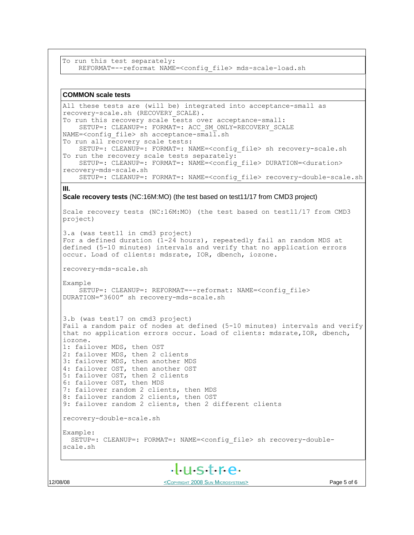```
To run this test separately:
    REFORMAT=--reformat NAME=<config_file> mds-scale-load.sh
```
#### **COMMON scale tests**

```
All these tests are (will be) integrated into acceptance-small as
recovery-scale.sh (RECOVERY_SCALE).
To run this recovery scale tests over acceptance-small:
    SETUP=: CLEANUP=: FORMAT=: ACC SM_ONLY=RECOVERY_SCALE
NAME=<config file> sh acceptance-small.sh
To run all recovery scale tests:
     SETUP=: CLEANUP=: FORMAT=: NAME=<config_file> sh recovery-scale.sh
To run the recovery scale tests separately:
    SETUP=: CLEANUP=: FORMAT=: NAME=<config_file> DURATION=<duration>
recovery-mds-scale.sh
    SETUP=: CLEANUP=: FORMAT=: NAME=<config_file> recovery-double-scale.sh
III.
Scale recovery tests (NC:16M:MO) (the test based on test11/17 from CMD3 project)
Scale recovery tests (NC:16M:MO) (the test based on test11/17 from CMD3
project)
3.a (was test11 in cmd3 project)
For a defined duration (1-24 hours), repeatedly fail an random MDS at
defined (5-10 minutes) intervals and verify that no application errors
occur. Load of clients: mdsrate, IOR, dbench, iozone.
recovery-mds-scale.sh
Example
    SETUP=: CLEANUP=: REFORMAT=--reformat: NAME=<config file>
DURATION="3600" sh recovery-mds-scale.sh
3.b (was test17 on cmd3 project)
Fail a random pair of nodes at defined (5-10 minutes) intervals and verify
that no application errors occur. Load of clients: mdsrate,IOR, dbench,
iozone.
1: failover MDS, then OST
2: failover MDS, then 2 clients
3: failover MDS, then another MDS
4: failover OST, then another OST
5: failover OST, then 2 clients
6: failover OST, then MDS
7: failover random 2 clients, then MDS
8: failover random 2 clients, then OST
9: failover random 2 clients, then 2 different clients
recovery-double-scale.sh 
Example:
   SETUP=: CLEANUP=: FORMAT=: NAME=<config_file> sh recovery-double-
scale.sh
                           H<sub>II</sub>stre
```
12/08/08 **Page 5 of 6 COPYRIGHT 2008 SUN MICROSYSTEMS**